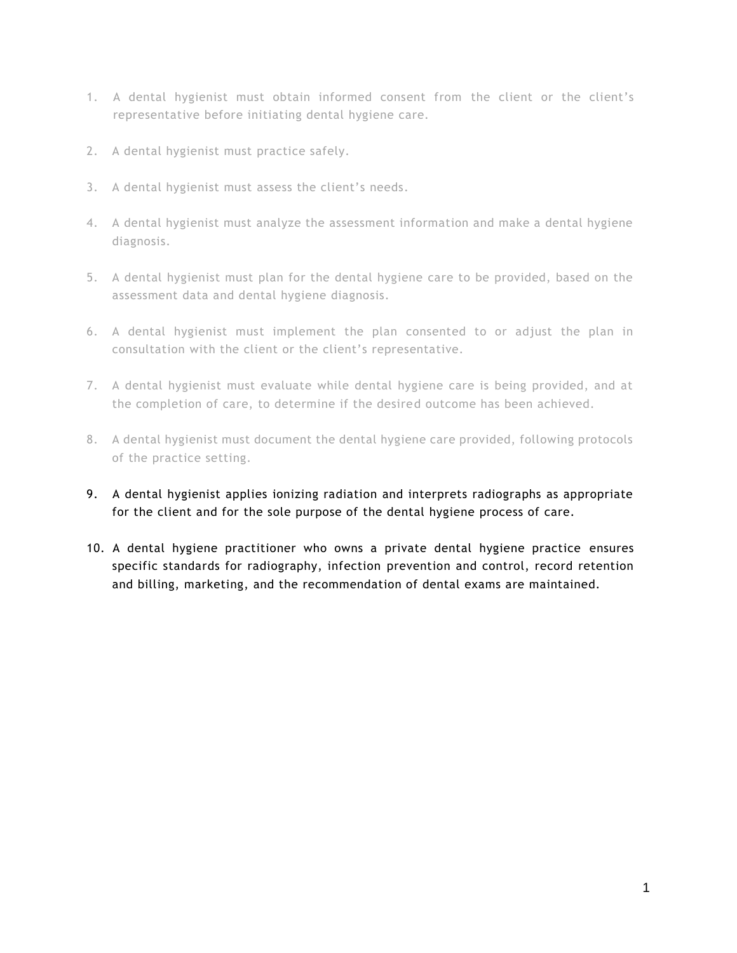- 1. A dental hygienist must obtain informed consent from the client or the client's representative before initiating dental hygiene care.
- 2. A dental hygienist must practice safely.
- 3. A dental hygienist must assess the client's needs.
- 4. A dental hygienist must analyze the assessment information and make a dental hygiene diagnosis.
- 5. A dental hygienist must plan for the dental hygiene care to be provided, based on the assessment data and dental hygiene diagnosis.
- 6. A dental hygienist must implement the plan consented to or adjust the plan in consultation with the client or the client's representative.
- 7. A dental hygienist must evaluate while dental hygiene care is being provided, and at the completion of care, to determine if the desired outcome has been achieved.
- 8. A dental hygienist must document the dental hygiene care provided, following protocols of the practice setting.
- 9. A dental hygienist applies ionizing radiation and interprets radiographs as appropriate for the client and for the sole purpose of the dental hygiene process of care.
- 10. A dental hygiene practitioner who owns a private dental hygiene practice ensures specific standards for radiography, infection prevention and control, record retention and billing, marketing, and the recommendation of dental exams are maintained.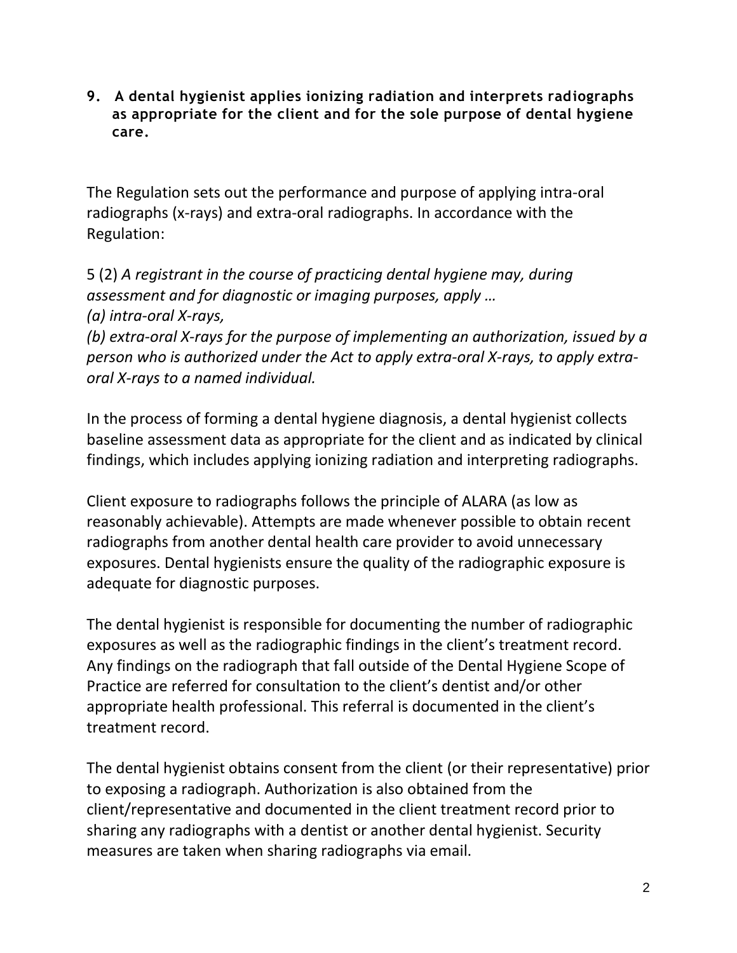**9. A dental hygienist applies ionizing radiation and interprets radiographs as appropriate for the client and for the sole purpose of dental hygiene care.**

The Regulation sets out the performance and purpose of applying intra-oral radiographs (x-rays) and extra-oral radiographs. In accordance with the Regulation:

5 (2) *A registrant in the course of practicing dental hygiene may, during assessment and for diagnostic or imaging purposes, apply … (a) intra-oral X-rays, (b) extra-oral X-rays for the purpose of implementing an authorization, issued by a person who is authorized under the Act to apply extra-oral X-rays, to apply extraoral X-rays to a named individual.*

In the process of forming a dental hygiene diagnosis, a dental hygienist collects baseline assessment data as appropriate for the client and as indicated by clinical findings, which includes applying ionizing radiation and interpreting radiographs.

Client exposure to radiographs follows the principle of ALARA (as low as reasonably achievable). Attempts are made whenever possible to obtain recent radiographs from another dental health care provider to avoid unnecessary exposures. Dental hygienists ensure the quality of the radiographic exposure is adequate for diagnostic purposes.

The dental hygienist is responsible for documenting the number of radiographic exposures as well as the radiographic findings in the client's treatment record. Any findings on the radiograph that fall outside of the Dental Hygiene Scope of Practice are referred for consultation to the client's dentist and/or other appropriate health professional. This referral is documented in the client's treatment record.

The dental hygienist obtains consent from the client (or their representative) prior to exposing a radiograph. Authorization is also obtained from the client/representative and documented in the client treatment record prior to sharing any radiographs with a dentist or another dental hygienist. Security measures are taken when sharing radiographs via email.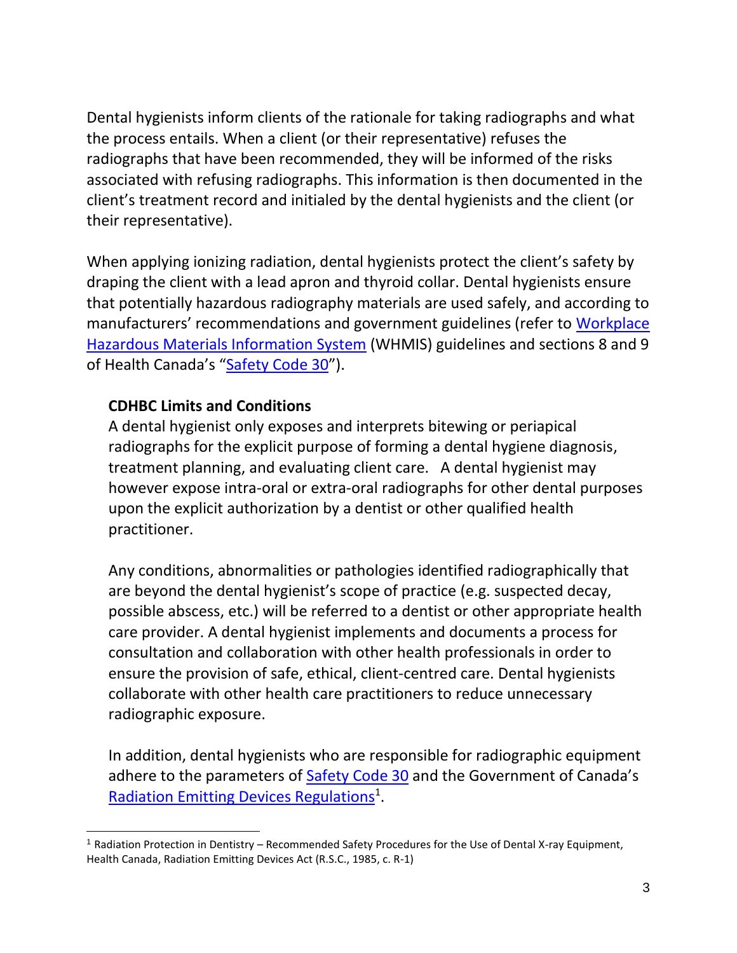Dental hygienists inform clients of the rationale for taking radiographs and what the process entails. When a client (or their representative) refuses the radiographs that have been recommended, they will be informed of the risks associated with refusing radiographs. This information is then documented in the client's treatment record and initialed by the dental hygienists and the client (or their representative).

When applying ionizing radiation, dental hygienists protect the client's safety by draping the client with a lead apron and thyroid collar. Dental hygienists ensure that potentially hazardous radiography materials are used safely, and according to manufacturers' recommendations and government guidelines (refer to [Workplace](https://www.canada.ca/en/health-canada/services/environmental-workplace-health/occupational-health-safety/workplace-hazardous-materials-information-system.html)  [Hazardous Materials Information System](https://www.canada.ca/en/health-canada/services/environmental-workplace-health/occupational-health-safety/workplace-hazardous-materials-information-system.html) (WHMIS) guidelines and sections 8 and 9 of Health Canada's "[Safety Code 30](https://www.canada.ca/en/health-canada/services/environmental-workplace-health/reports-publications/radiation/radiation-protection-dentistry-recommended-safety-procedures-use-dental-equipment-safety-code-30.html)").

### **CDHBC Limits and Conditions**

A dental hygienist only exposes and interprets bitewing or periapical radiographs for the explicit purpose of forming a dental hygiene diagnosis, treatment planning, and evaluating client care. A dental hygienist may however expose intra-oral or extra-oral radiographs for other dental purposes upon the explicit authorization by a dentist or other qualified health practitioner.

Any conditions, abnormalities or pathologies identified radiographically that are beyond the dental hygienist's scope of practice (e.g. suspected decay, possible abscess, etc.) will be referred to a dentist or other appropriate health care provider. A dental hygienist implements and documents a process for consultation and collaboration with other health professionals in order to ensure the provision of safe, ethical, client-centred care. Dental hygienists collaborate with other health care practitioners to reduce unnecessary radiographic exposure.

In addition, dental hygienists who are responsible for radiographic equipment adhere to the parameters of [Safety Code 30](https://www.canada.ca/en/health-canada/services/environmental-workplace-health/reports-publications/radiation/radiation-protection-dentistry-recommended-safety-procedures-use-dental-equipment-safety-code-30.html) and the Government of Canada's [Radiation Emitting Devices Regulations](https://laws-lois.justice.gc.ca/PDF/C.R.C.,_c._1370.pdf)<sup>1</sup>.

<sup>1</sup> Radiation Protection in Dentistry – Recommended Safety Procedures for the Use of Dental X-ray Equipment, Health Canada, Radiation Emitting Devices Act (R.S.C., 1985, c. R-1)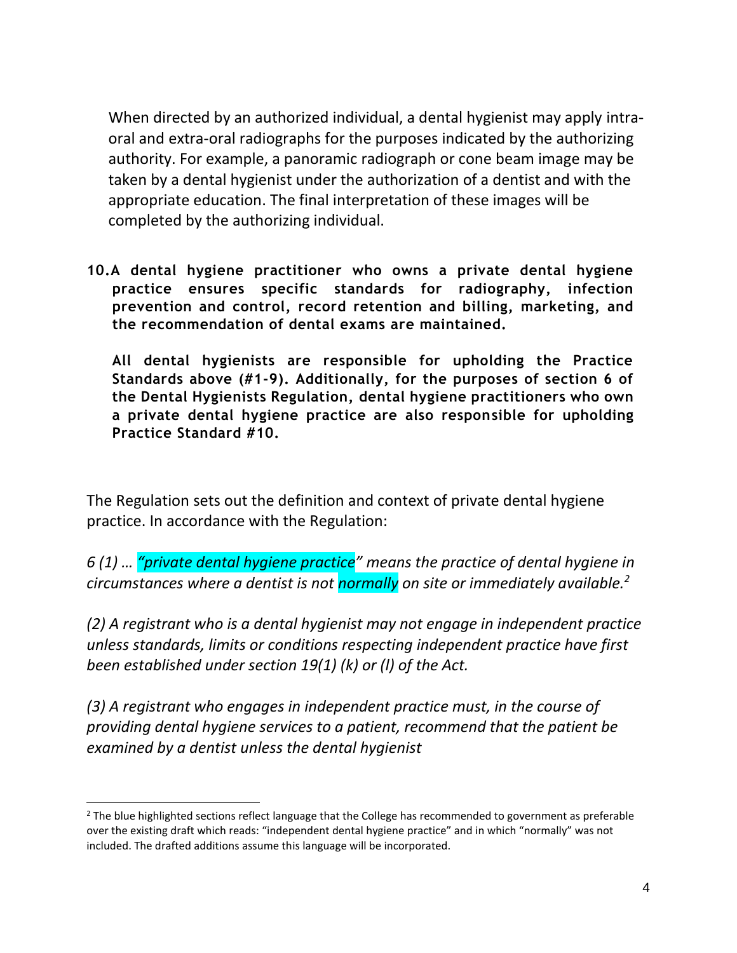When directed by an authorized individual, a dental hygienist may apply intraoral and extra-oral radiographs for the purposes indicated by the authorizing authority. For example, a panoramic radiograph or cone beam image may be taken by a dental hygienist under the authorization of a dentist and with the appropriate education. The final interpretation of these images will be completed by the authorizing individual.

**10.A dental hygiene practitioner who owns a private dental hygiene practice ensures specific standards for radiography, infection prevention and control, record retention and billing, marketing, and the recommendation of dental exams are maintained.** 

**All dental hygienists are responsible for upholding the Practice Standards above (#1-9). Additionally, for the purposes of section 6 of the Dental Hygienists Regulation, dental hygiene practitioners who own a private dental hygiene practice are also responsible for upholding Practice Standard #10.**

The Regulation sets out the definition and context of private dental hygiene practice. In accordance with the Regulation:

*6 (1) … "private dental hygiene practice" means the practice of dental hygiene in circumstances where a dentist is not normally on site or immediately available.<sup>2</sup>*

*(2) A registrant who is a dental hygienist may not engage in independent practice unless standards, limits or conditions respecting independent practice have first been established under section 19(1) (k) or (l) of the Act.*

*(3) A registrant who engages in independent practice must, in the course of providing dental hygiene services to a patient, recommend that the patient be examined by a dentist unless the dental hygienist* 

 $<sup>2</sup>$  The blue highlighted sections reflect language that the College has recommended to government as preferable</sup> over the existing draft which reads: "independent dental hygiene practice" and in which "normally" was not included. The drafted additions assume this language will be incorporated.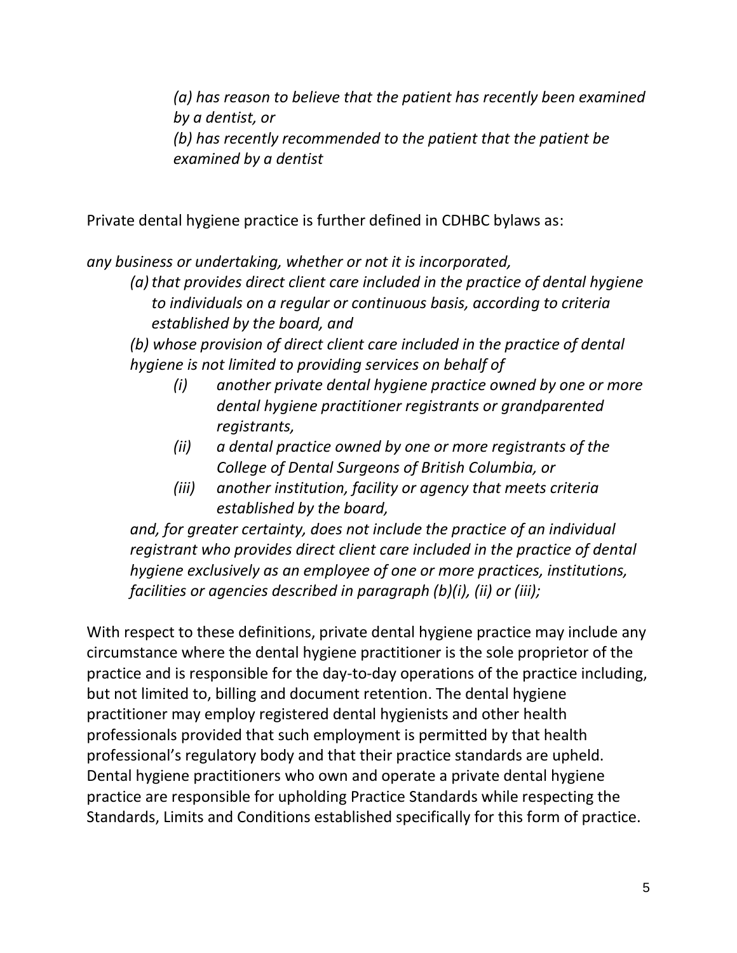*(a) has reason to believe that the patient has recently been examined by a dentist, or (b) has recently recommended to the patient that the patient be examined by a dentist*

Private dental hygiene practice is further defined in CDHBC bylaws as:

*any business or undertaking, whether or not it is incorporated,*

*(a)that provides direct client care included in the practice of dental hygiene to individuals on a regular or continuous basis, according to criteria established by the board, and*

*(b) whose provision of direct client care included in the practice of dental hygiene is not limited to providing services on behalf of*

- *(i) another private dental hygiene practice owned by one or more dental hygiene practitioner registrants or grandparented registrants,*
- *(ii) a dental practice owned by one or more registrants of the College of Dental Surgeons of British Columbia, or*
- *(iii) another institution, facility or agency that meets criteria established by the board,*

*and, for greater certainty, does not include the practice of an individual registrant who provides direct client care included in the practice of dental hygiene exclusively as an employee of one or more practices, institutions, facilities or agencies described in paragraph (b)(i), (ii) or (iii);*

With respect to these definitions, private dental hygiene practice may include any circumstance where the dental hygiene practitioner is the sole proprietor of the practice and is responsible for the day-to-day operations of the practice including, but not limited to, billing and document retention. The dental hygiene practitioner may employ registered dental hygienists and other health professionals provided that such employment is permitted by that health professional's regulatory body and that their practice standards are upheld. Dental hygiene practitioners who own and operate a private dental hygiene practice are responsible for upholding Practice Standards while respecting the Standards, Limits and Conditions established specifically for this form of practice.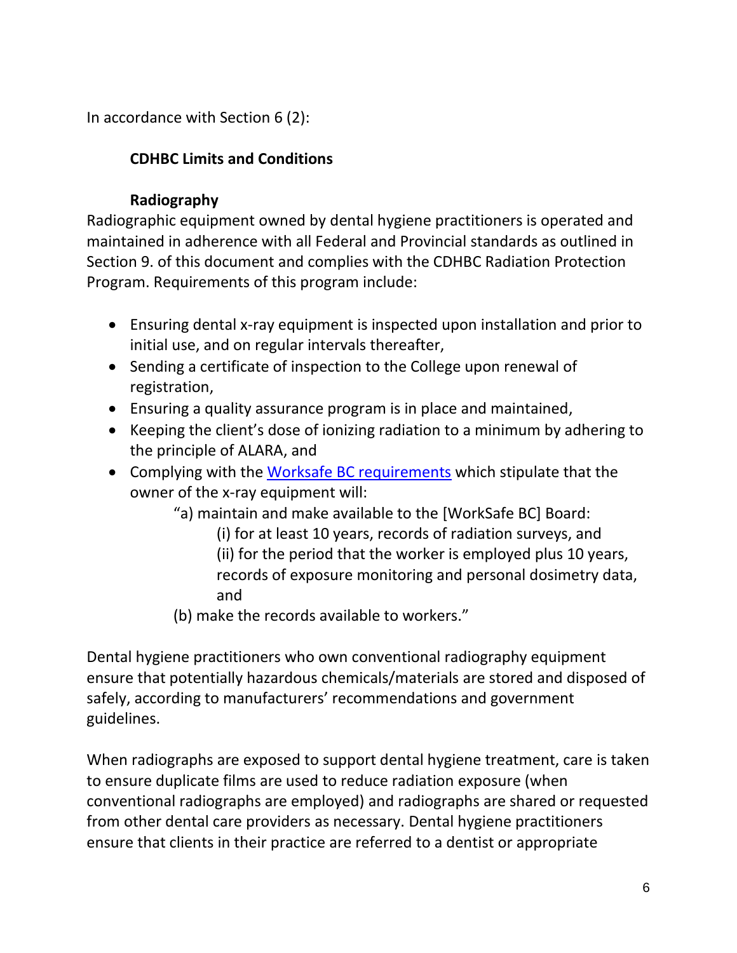In accordance with Section 6 (2):

# **CDHBC Limits and Conditions**

## **Radiography**

Radiographic equipment owned by dental hygiene practitioners is operated and maintained in adherence with all Federal and Provincial standards as outlined in Section 9. of this document and complies with the CDHBC Radiation Protection Program. Requirements of this program include:

- Ensuring dental x-ray equipment is inspected upon installation and prior to initial use, and on regular intervals thereafter,
- Sending a certificate of inspection to the College upon renewal of registration,
- Ensuring a quality assurance program is in place and maintained,
- Keeping the client's dose of ionizing radiation to a minimum by adhering to the principle of ALARA, and
- Complying with the [Worksafe BC requirements](https://www.worksafebc.com/en/law-policy/occupational-health-safety/searchable-ohs-regulation/ohs-regulation/part-07-noise-vibration-radiation-and-temperature#SectionNumber:7.18) which stipulate that the owner of the x-ray equipment will:
	- "a) maintain and make available to the [WorkSafe BC] Board:
		- (i) for at least 10 years, records of radiation surveys, and
		- (ii) for the period that the worker is employed plus 10 years,
		- records of exposure monitoring and personal dosimetry data, and
	- (b) make the records available to workers."

Dental hygiene practitioners who own conventional radiography equipment ensure that potentially hazardous chemicals/materials are stored and disposed of safely, according to manufacturers' recommendations and government guidelines.

When radiographs are exposed to support dental hygiene treatment, care is taken to ensure duplicate films are used to reduce radiation exposure (when conventional radiographs are employed) and radiographs are shared or requested from other dental care providers as necessary. Dental hygiene practitioners ensure that clients in their practice are referred to a dentist or appropriate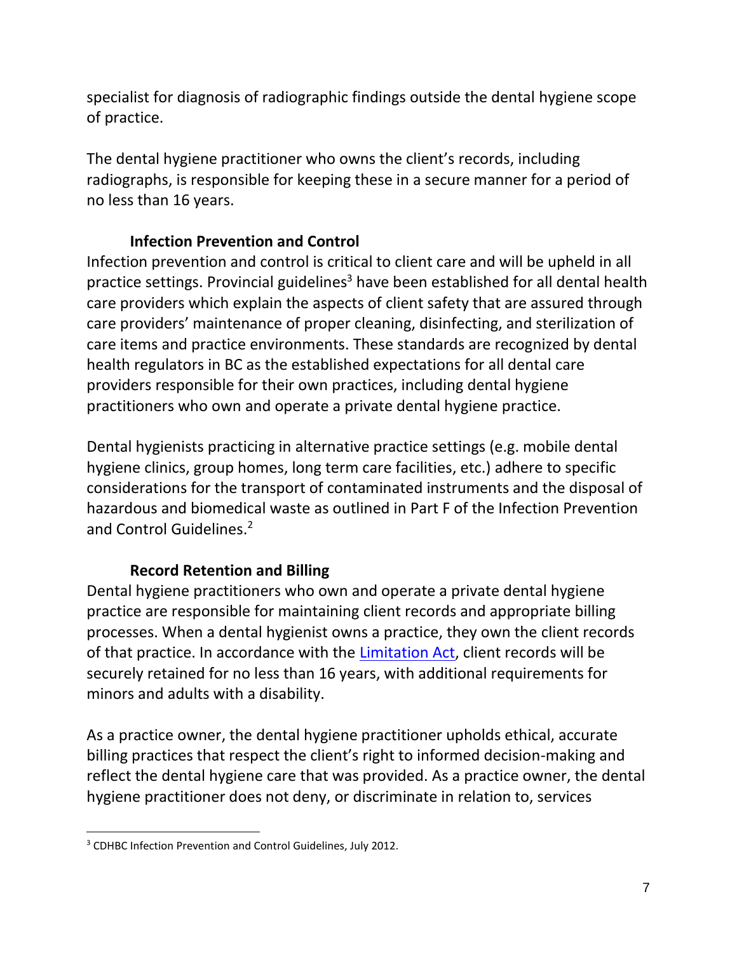specialist for diagnosis of radiographic findings outside the dental hygiene scope of practice.

The dental hygiene practitioner who owns the client's records, including radiographs, is responsible for keeping these in a secure manner for a period of no less than 16 years.

## **Infection Prevention and Control**

Infection prevention and control is critical to client care and will be upheld in all practice settings. Provincial guidelines<sup>3</sup> have been established for all dental health care providers which explain the aspects of client safety that are assured through care providers' maintenance of proper cleaning, disinfecting, and sterilization of care items and practice environments. These standards are recognized by dental health regulators in BC as the established expectations for all dental care providers responsible for their own practices, including dental hygiene practitioners who own and operate a private dental hygiene practice.

Dental hygienists practicing in alternative practice settings (e.g. mobile dental hygiene clinics, group homes, long term care facilities, etc.) adhere to specific considerations for the transport of contaminated instruments and the disposal of hazardous and biomedical waste as outlined in Part F of the Infection Prevention and Control Guidelines. 2

## **Record Retention and Billing**

Dental hygiene practitioners who own and operate a private dental hygiene practice are responsible for maintaining client records and appropriate billing processes. When a dental hygienist owns a practice, they own the client records of that practice. In accordance with the [Limitation Act,](http://www.bclaws.ca/civix/document/id/complete/statreg/12013_01) client records will be securely retained for no less than 16 years, with additional requirements for minors and adults with a disability.

As a practice owner, the dental hygiene practitioner upholds ethical, accurate billing practices that respect the client's right to informed decision-making and reflect the dental hygiene care that was provided. As a practice owner, the dental hygiene practitioner does not deny, or discriminate in relation to, services

<sup>3</sup> CDHBC Infection Prevention and Control Guidelines, July 2012.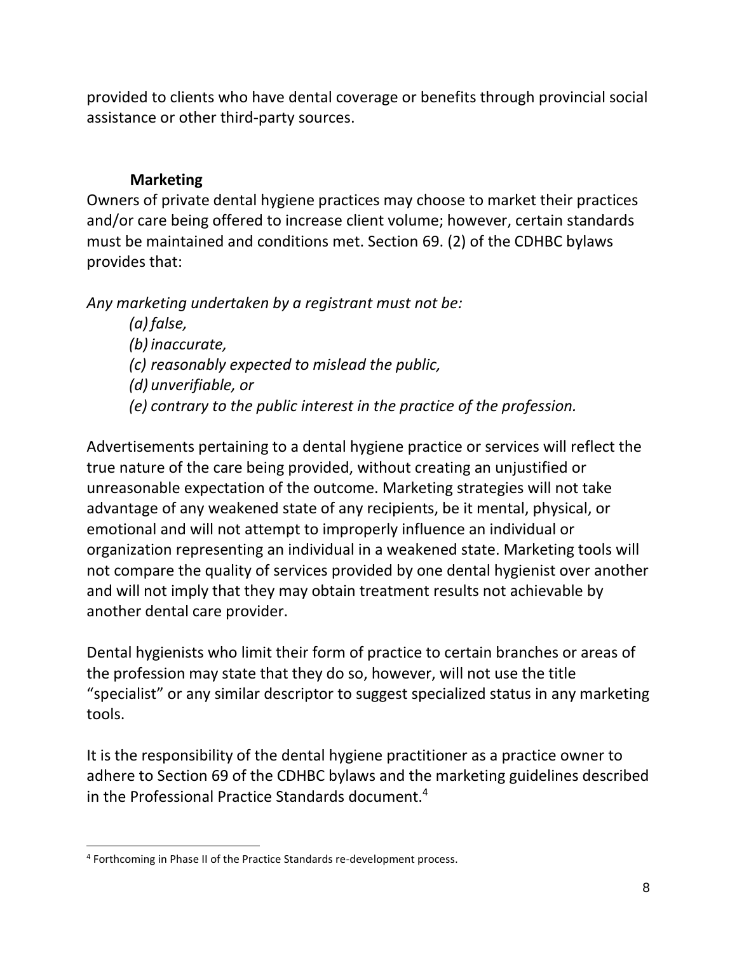provided to clients who have dental coverage or benefits through provincial social assistance or other third-party sources.

## **Marketing**

Owners of private dental hygiene practices may choose to market their practices and/or care being offered to increase client volume; however, certain standards must be maintained and conditions met. Section 69. (2) of the CDHBC bylaws provides that:

*Any marketing undertaken by a registrant must not be:*

*(a) false, (b) inaccurate, (c) reasonably expected to mislead the public, (d) unverifiable, or (e) contrary to the public interest in the practice of the profession.*

Advertisements pertaining to a dental hygiene practice or services will reflect the true nature of the care being provided, without creating an unjustified or unreasonable expectation of the outcome. Marketing strategies will not take advantage of any weakened state of any recipients, be it mental, physical, or emotional and will not attempt to improperly influence an individual or organization representing an individual in a weakened state. Marketing tools will not compare the quality of services provided by one dental hygienist over another and will not imply that they may obtain treatment results not achievable by another dental care provider.

Dental hygienists who limit their form of practice to certain branches or areas of the profession may state that they do so, however, will not use the title "specialist" or any similar descriptor to suggest specialized status in any marketing tools.

It is the responsibility of the dental hygiene practitioner as a practice owner to adhere to Section 69 of the CDHBC bylaws and the marketing guidelines described in the Professional Practice Standards document.<sup>4</sup>

<sup>&</sup>lt;sup>4</sup> Forthcoming in Phase II of the Practice Standards re-development process.